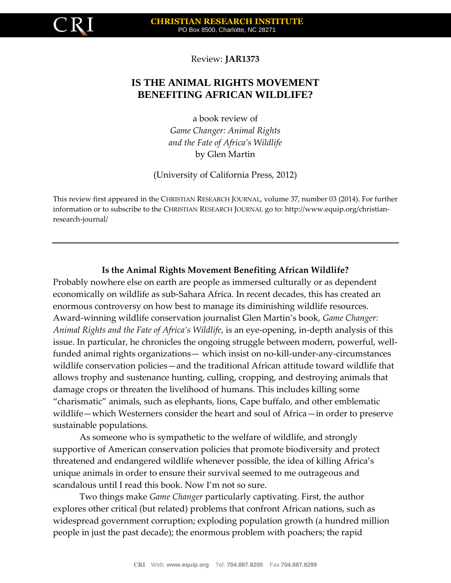

Review: **JAR1373**

## **IS THE ANIMAL RIGHTS MOVEMENT BENEFITING AFRICAN WILDLIFE?**

a book review of

*Game Changer: Animal Rights and the Fate of Africa's Wildlife* by Glen Martin

(University of California Press, 2012)

This review first appeared in the CHRISTIAN RESEARCH JOURNAL, volume 37, number 03 (2014). For further information or to subscribe to the CHRISTIAN RESEARCH JOURNAL go to: http://www.equip.org/christianresearch-journal/

## **Is the Animal Rights Movement Benefiting African Wildlife?**

Probably nowhere else on earth are people as immersed culturally or as dependent economically on wildlife as sub-Sahara Africa. In recent decades, this has created an enormous controversy on how best to manage its diminishing wildlife resources. Award-winning wildlife conservation journalist Glen Martin's book, *Game Changer: Animal Rights and the Fate of Africa's Wildlife*, is an eye-opening, in-depth analysis of this issue. In particular, he chronicles the ongoing struggle between modern, powerful, wellfunded animal rights organizations— which insist on no-kill-under-any-circumstances wildlife conservation policies—and the traditional African attitude toward wildlife that allows trophy and sustenance hunting, culling, cropping, and destroying animals that damage crops or threaten the livelihood of humans. This includes killing some "charismatic" animals, such as elephants, lions, Cape buffalo, and other emblematic wildlife—which Westerners consider the heart and soul of Africa—in order to preserve sustainable populations.

As someone who is sympathetic to the welfare of wildlife, and strongly supportive of American conservation policies that promote biodiversity and protect threatened and endangered wildlife whenever possible, the idea of killing Africa's unique animals in order to ensure their survival seemed to me outrageous and scandalous until I read this book. Now I'm not so sure.

Two things make *Game Changer* particularly captivating. First, the author explores other critical (but related) problems that confront African nations, such as widespread government corruption; exploding population growth (a hundred million people in just the past decade); the enormous problem with poachers; the rapid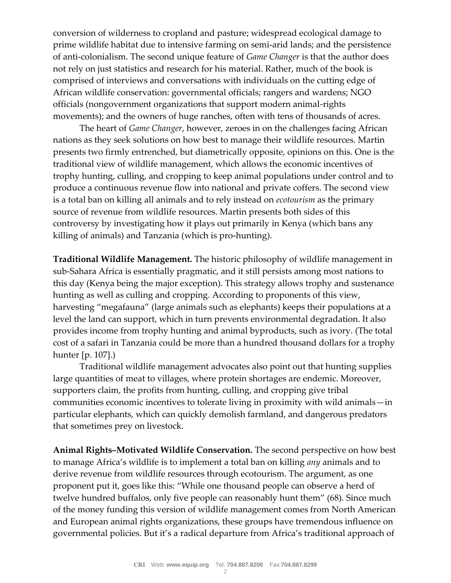conversion of wilderness to cropland and pasture; widespread ecological damage to prime wildlife habitat due to intensive farming on semi-arid lands; and the persistence of anti-colonialism. The second unique feature of *Game Changer* is that the author does not rely on just statistics and research for his material. Rather, much of the book is comprised of interviews and conversations with individuals on the cutting edge of African wildlife conservation: governmental officials; rangers and wardens; NGO officials (nongovernment organizations that support modern animal-rights movements); and the owners of huge ranches, often with tens of thousands of acres.

The heart of *Game Changer*, however, zeroes in on the challenges facing African nations as they seek solutions on how best to manage their wildlife resources. Martin presents two firmly entrenched, but diametrically opposite, opinions on this. One is the traditional view of wildlife management, which allows the economic incentives of trophy hunting, culling, and cropping to keep animal populations under control and to produce a continuous revenue flow into national and private coffers. The second view is a total ban on killing all animals and to rely instead on *ecotourism* as the primary source of revenue from wildlife resources. Martin presents both sides of this controversy by investigating how it plays out primarily in Kenya (which bans any killing of animals) and Tanzania (which is pro-hunting).

**Traditional Wildlife Management.** The historic philosophy of wildlife management in sub-Sahara Africa is essentially pragmatic, and it still persists among most nations to this day (Kenya being the major exception). This strategy allows trophy and sustenance hunting as well as culling and cropping. According to proponents of this view, harvesting "megafauna" (large animals such as elephants) keeps their populations at a level the land can support, which in turn prevents environmental degradation. It also provides income from trophy hunting and animal byproducts, such as ivory. (The total cost of a safari in Tanzania could be more than a hundred thousand dollars for a trophy hunter [p. 107].)

Traditional wildlife management advocates also point out that hunting supplies large quantities of meat to villages, where protein shortages are endemic. Moreover, supporters claim, the profits from hunting, culling, and cropping give tribal communities economic incentives to tolerate living in proximity with wild animals—in particular elephants, which can quickly demolish farmland, and dangerous predators that sometimes prey on livestock.

**Animal Rights–Motivated Wildlife Conservation.** The second perspective on how best to manage Africa's wildlife is to implement a total ban on killing *any* animals and to derive revenue from wildlife resources through ecotourism. The argument, as one proponent put it, goes like this: "While one thousand people can observe a herd of twelve hundred buffalos, only five people can reasonably hunt them" (68). Since much of the money funding this version of wildlife management comes from North American and European animal rights organizations, these groups have tremendous influence on governmental policies. But it's a radical departure from Africa's traditional approach of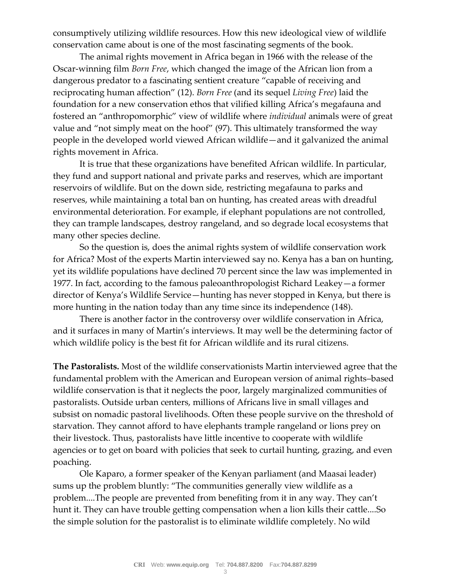consumptively utilizing wildlife resources. How this new ideological view of wildlife conservation came about is one of the most fascinating segments of the book.

The animal rights movement in Africa began in 1966 with the release of the Oscar-winning film *Born Free*, which changed the image of the African lion from a dangerous predator to a fascinating sentient creature "capable of receiving and reciprocating human affection" (12). *Born Free* (and its sequel *Living Free*) laid the foundation for a new conservation ethos that vilified killing Africa's megafauna and fostered an "anthropomorphic" view of wildlife where *individual* animals were of great value and "not simply meat on the hoof" (97). This ultimately transformed the way people in the developed world viewed African wildlife—and it galvanized the animal rights movement in Africa.

It is true that these organizations have benefited African wildlife. In particular, they fund and support national and private parks and reserves, which are important reservoirs of wildlife. But on the down side, restricting megafauna to parks and reserves, while maintaining a total ban on hunting, has created areas with dreadful environmental deterioration. For example, if elephant populations are not controlled, they can trample landscapes, destroy rangeland, and so degrade local ecosystems that many other species decline.

So the question is, does the animal rights system of wildlife conservation work for Africa? Most of the experts Martin interviewed say no. Kenya has a ban on hunting, yet its wildlife populations have declined 70 percent since the law was implemented in 1977. In fact, according to the famous paleoanthropologist Richard Leakey—a former director of Kenya's Wildlife Service—hunting has never stopped in Kenya, but there is more hunting in the nation today than any time since its independence (148).

There is another factor in the controversy over wildlife conservation in Africa, and it surfaces in many of Martin's interviews. It may well be the determining factor of which wildlife policy is the best fit for African wildlife and its rural citizens.

**The Pastoralists.** Most of the wildlife conservationists Martin interviewed agree that the fundamental problem with the American and European version of animal rights–based wildlife conservation is that it neglects the poor, largely marginalized communities of pastoralists. Outside urban centers, millions of Africans live in small villages and subsist on nomadic pastoral livelihoods. Often these people survive on the threshold of starvation. They cannot afford to have elephants trample rangeland or lions prey on their livestock. Thus, pastoralists have little incentive to cooperate with wildlife agencies or to get on board with policies that seek to curtail hunting, grazing, and even poaching.

Ole Kaparo, a former speaker of the Kenyan parliament (and Maasai leader) sums up the problem bluntly: "The communities generally view wildlife as a problem....The people are prevented from benefiting from it in any way. They can't hunt it. They can have trouble getting compensation when a lion kills their cattle....So the simple solution for the pastoralist is to eliminate wildlife completely. No wild